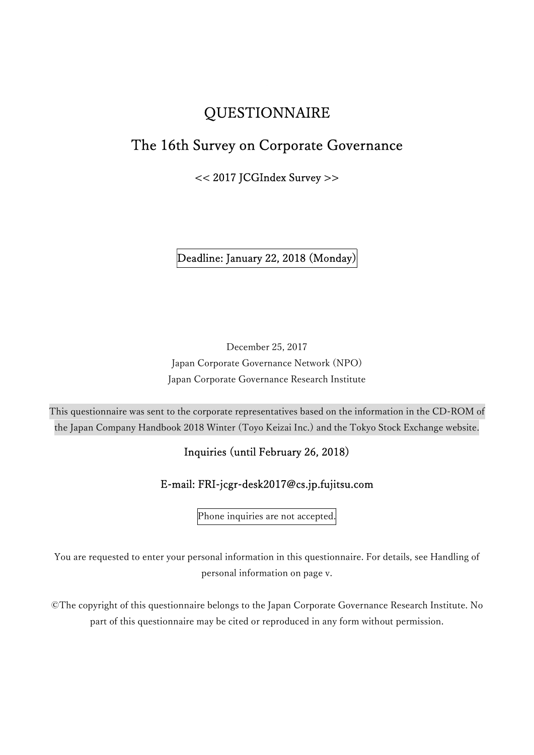# **QUESTIONNAIRE**

# The 16th Survey on Corporate Governance

<< 2017 JCGIndex Survey >>

Deadline: January 22, 2018 (Monday)

December 25, 2017 Japan Corporate Governance Network (NPO) Japan Corporate Governance Research Institute

This questionnaire was sent to the corporate representatives based on the information in the CD-ROM of the Japan Company Handbook 2018 Winter (Toyo Keizai Inc.) and the Tokyo Stock Exchange website.

# Inquiries (until February 26, 2018)

# E-mail: FRI-jcgr-desk2017@cs.jp.fujitsu.com

Phone inquiries are not accepted.

You are requested to enter your personal information in this questionnaire. For details, see Handling of personal information on page v.

©The copyright of this questionnaire belongs to the Japan Corporate Governance Research Institute. No part of this questionnaire may be cited or reproduced in any form without permission.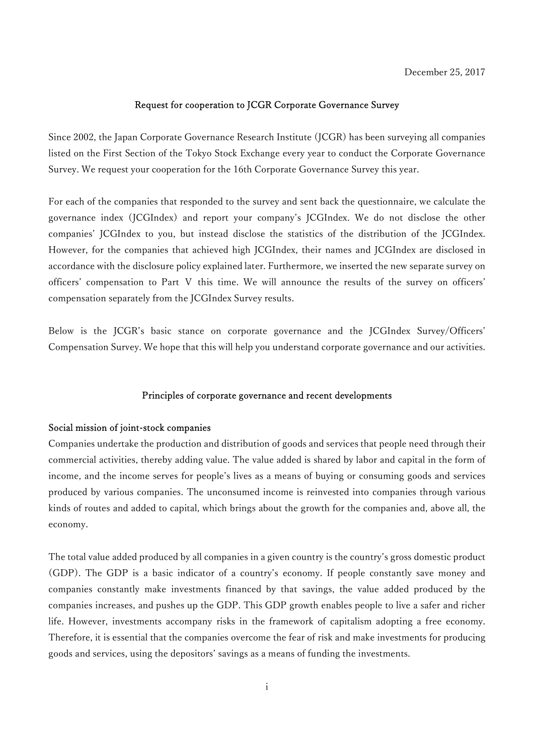### Request for cooperation to JCGR Corporate Governance Survey

Since 2002, the Japan Corporate Governance Research Institute (JCGR) has been surveying all companies listed on the First Section of the Tokyo Stock Exchange every year to conduct the Corporate Governance Survey. We request your cooperation for the 16th Corporate Governance Survey this year.

For each of the companies that responded to the survey and sent back the questionnaire, we calculate the governance index (JCGIndex) and report your company's JCGIndex. We do not disclose the other companies' JCGIndex to you, but instead disclose the statistics of the distribution of the JCGIndex. However, for the companies that achieved high JCGIndex, their names and JCGIndex are disclosed in accordance with the disclosure policy explained later. Furthermore, we inserted the new separate survey on officers' compensation to Part Ⅴ this time. We will announce the results of the survey on officers' compensation separately from the JCGIndex Survey results.

Below is the JCGR's basic stance on corporate governance and the JCGIndex Survey/Officers' Compensation Survey. We hope that this will help you understand corporate governance and our activities.

### Principles of corporate governance and recent developments

#### Social mission of joint-stock companies

Companies undertake the production and distribution of goods and services that people need through their commercial activities, thereby adding value. The value added is shared by labor and capital in the form of income, and the income serves for people's lives as a means of buying or consuming goods and services produced by various companies. The unconsumed income is reinvested into companies through various kinds of routes and added to capital, which brings about the growth for the companies and, above all, the economy.

The total value added produced by all companies in a given country is the country's gross domestic product (GDP). The GDP is a basic indicator of a country's economy. If people constantly save money and companies constantly make investments financed by that savings, the value added produced by the companies increases, and pushes up the GDP. This GDP growth enables people to live a safer and richer life. However, investments accompany risks in the framework of capitalism adopting a free economy. Therefore, it is essential that the companies overcome the fear of risk and make investments for producing goods and services, using the depositors' savings as a means of funding the investments.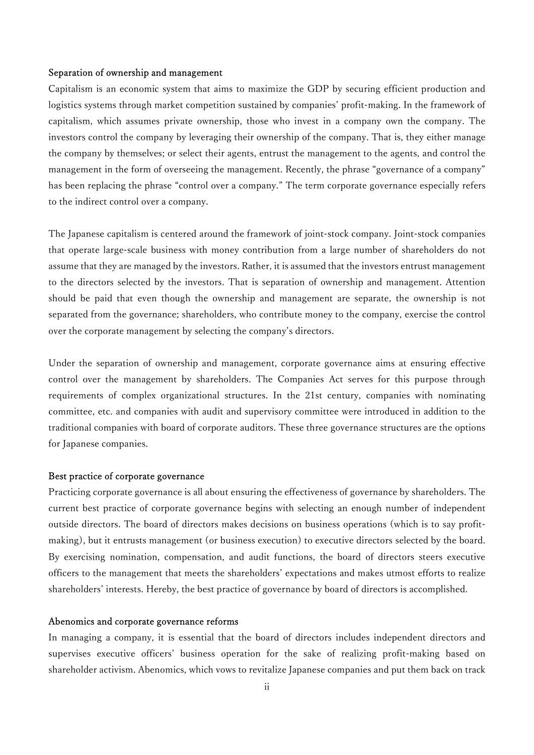#### Separation of ownership and management

Capitalism is an economic system that aims to maximize the GDP by securing efficient production and logistics systems through market competition sustained by companies' profit-making. In the framework of capitalism, which assumes private ownership, those who invest in a company own the company. The investors control the company by leveraging their ownership of the company. That is, they either manage the company by themselves; or select their agents, entrust the management to the agents, and control the management in the form of overseeing the management. Recently, the phrase "governance of a company" has been replacing the phrase "control over a company." The term corporate governance especially refers to the indirect control over a company.

The Japanese capitalism is centered around the framework of joint-stock company. Joint-stock companies that operate large-scale business with money contribution from a large number of shareholders do not assume that they are managed by the investors. Rather, it is assumed that the investors entrust management to the directors selected by the investors. That is separation of ownership and management. Attention should be paid that even though the ownership and management are separate, the ownership is not separated from the governance; shareholders, who contribute money to the company, exercise the control over the corporate management by selecting the company's directors.

Under the separation of ownership and management, corporate governance aims at ensuring effective control over the management by shareholders. The Companies Act serves for this purpose through requirements of complex organizational structures. In the 21st century, companies with nominating committee, etc. and companies with audit and supervisory committee were introduced in addition to the traditional companies with board of corporate auditors. These three governance structures are the options for Japanese companies.

### Best practice of corporate governance

Practicing corporate governance is all about ensuring the effectiveness of governance by shareholders. The current best practice of corporate governance begins with selecting an enough number of independent outside directors. The board of directors makes decisions on business operations (which is to say profitmaking), but it entrusts management (or business execution) to executive directors selected by the board. By exercising nomination, compensation, and audit functions, the board of directors steers executive officers to the management that meets the shareholders' expectations and makes utmost efforts to realize shareholders' interests. Hereby, the best practice of governance by board of directors is accomplished.

#### Abenomics and corporate governance reforms

In managing a company, it is essential that the board of directors includes independent directors and supervises executive officers' business operation for the sake of realizing profit-making based on shareholder activism. Abenomics, which vows to revitalize Japanese companies and put them back on track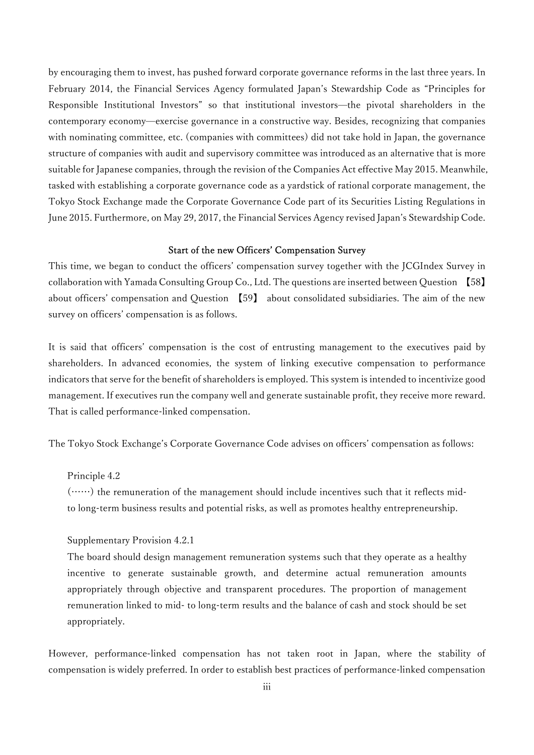by encouraging them to invest, has pushed forward corporate governance reforms in the last three years. In February 2014, the Financial Services Agency formulated Japan's Stewardship Code as "Principles for Responsible Institutional Investors" so that institutional investors—the pivotal shareholders in the contemporary economy—exercise governance in a constructive way. Besides, recognizing that companies with nominating committee, etc. (companies with committees) did not take hold in Japan, the governance structure of companies with audit and supervisory committee was introduced as an alternative that is more suitable for Japanese companies, through the revision of the Companies Act effective May 2015. Meanwhile, tasked with establishing a corporate governance code as a yardstick of rational corporate management, the Tokyo Stock Exchange made the Corporate Governance Code part of its Securities Listing Regulations in June 2015. Furthermore, on May 29, 2017, the Financial Services Agency revised Japan's Stewardship Code.

### Start of the new Officers' Compensation Survey

This time, we began to conduct the officers' compensation survey together with the JCGIndex Survey in collaboration with Yamada Consulting Group Co., Ltd. The questions are inserted between Question 【58】 about officers' compensation and Question 【59】 about consolidated subsidiaries. The aim of the new survey on officers' compensation is as follows.

It is said that officers' compensation is the cost of entrusting management to the executives paid by shareholders. In advanced economies, the system of linking executive compensation to performance indicators that serve for the benefit of shareholders is employed. This system is intended to incentivize good management. If executives run the company well and generate sustainable profit, they receive more reward. That is called performance-linked compensation.

The Tokyo Stock Exchange's Corporate Governance Code advises on officers' compensation as follows:

### Principle 4.2

(……) the remuneration of the management should include incentives such that it reflects midto long-term business results and potential risks, as well as promotes healthy entrepreneurship.

Supplementary Provision 4.2.1

The board should design management remuneration systems such that they operate as a healthy incentive to generate sustainable growth, and determine actual remuneration amounts appropriately through objective and transparent procedures. The proportion of management remuneration linked to mid- to long-term results and the balance of cash and stock should be set appropriately.

However, performance-linked compensation has not taken root in Japan, where the stability of compensation is widely preferred. In order to establish best practices of performance-linked compensation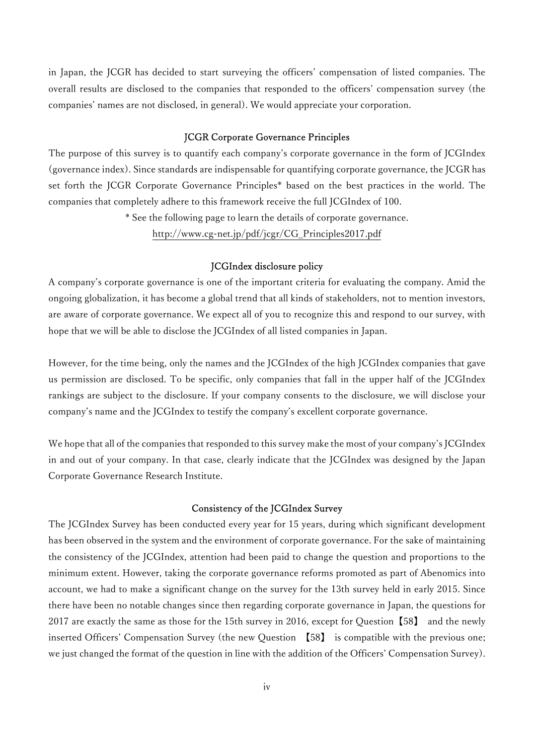in Japan, the JCGR has decided to start surveying the officers' compensation of listed companies. The overall results are disclosed to the companies that responded to the officers' compensation survey (the companies' names are not disclosed, in general). We would appreciate your corporation.

#### JCGR Corporate Governance Principles

The purpose of this survey is to quantify each company's corporate governance in the form of JCGIndex (governance index). Since standards are indispensable for quantifying corporate governance, the JCGR has set forth the JCGR Corporate Governance Principles\* based on the best practices in the world. The companies that completely adhere to this framework receive the full JCGIndex of 100.

\* See the following page to learn the details of corporate governance.

http://www.cg-net.jp/pdf/jcgr/CG\_Principles2017.pdf

#### JCGIndex disclosure policy

A company's corporate governance is one of the important criteria for evaluating the company. Amid the ongoing globalization, it has become a global trend that all kinds of stakeholders, not to mention investors, are aware of corporate governance. We expect all of you to recognize this and respond to our survey, with hope that we will be able to disclose the JCGIndex of all listed companies in Japan.

However, for the time being, only the names and the JCGIndex of the high JCGIndex companies that gave us permission are disclosed. To be specific, only companies that fall in the upper half of the JCGIndex rankings are subject to the disclosure. If your company consents to the disclosure, we will disclose your company's name and the JCGIndex to testify the company's excellent corporate governance.

We hope that all of the companies that responded to this survey make the most of your company's JCGIndex in and out of your company. In that case, clearly indicate that the JCGIndex was designed by the Japan Corporate Governance Research Institute.

### Consistency of the JCGIndex Survey

The JCGIndex Survey has been conducted every year for 15 years, during which significant development has been observed in the system and the environment of corporate governance. For the sake of maintaining the consistency of the JCGIndex, attention had been paid to change the question and proportions to the minimum extent. However, taking the corporate governance reforms promoted as part of Abenomics into account, we had to make a significant change on the survey for the 13th survey held in early 2015. Since there have been no notable changes since then regarding corporate governance in Japan, the questions for 2017 are exactly the same as those for the 15th survey in 2016, except for Question【58】 and the newly inserted Officers' Compensation Survey (the new Question 【58】 is compatible with the previous one; we just changed the format of the question in line with the addition of the Officers' Compensation Survey).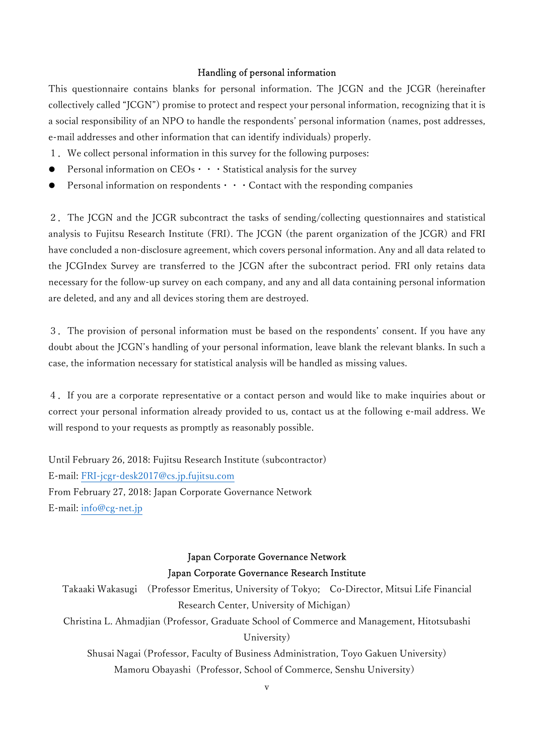### Handling of personal information

This questionnaire contains blanks for personal information. The JCGN and the JCGR (hereinafter collectively called "JCGN") promise to protect and respect your personal information, recognizing that it is a social responsibility of an NPO to handle the respondents' personal information (names, post addresses, e-mail addresses and other information that can identify individuals) properly.

- 1.We collect personal information in this survey for the following purposes:
- Personal information on  $CEOs \cdot \cdot \cdot$  Statistical analysis for the survey
- Personal information on respondents  $\cdots$  Contact with the responding companies

2.The JCGN and the JCGR subcontract the tasks of sending/collecting questionnaires and statistical analysis to Fujitsu Research Institute (FRI). The JCGN (the parent organization of the JCGR) and FRI have concluded a non-disclosure agreement, which covers personal information. Any and all data related to the JCGIndex Survey are transferred to the JCGN after the subcontract period. FRI only retains data necessary for the follow-up survey on each company, and any and all data containing personal information are deleted, and any and all devices storing them are destroyed.

3.The provision of personal information must be based on the respondents' consent. If you have any doubt about the JCGN's handling of your personal information, leave blank the relevant blanks. In such a case, the information necessary for statistical analysis will be handled as missing values.

4.If you are a corporate representative or a contact person and would like to make inquiries about or correct your personal information already provided to us, contact us at the following e-mail address. We will respond to your requests as promptly as reasonably possible.

Until February 26, 2018: Fujitsu Research Institute (subcontractor) E-mail: FRI-jcgr-desk2017@cs.jp.fujitsu.com From February 27, 2018: Japan Corporate Governance Network E-mail: info@cg-net.jp

# Japan Corporate Governance Network Japan Corporate Governance Research Institute

Takaaki Wakasugi (Professor Emeritus, University of Tokyo; Co-Director, Mitsui Life Financial Research Center, University of Michigan) Christina L. Ahmadjian (Professor, Graduate School of Commerce and Management, Hitotsubashi University) Shusai Nagai (Professor, Faculty of Business Administration, Toyo Gakuen University) Mamoru Obayashi (Professor, School of Commerce, Senshu University)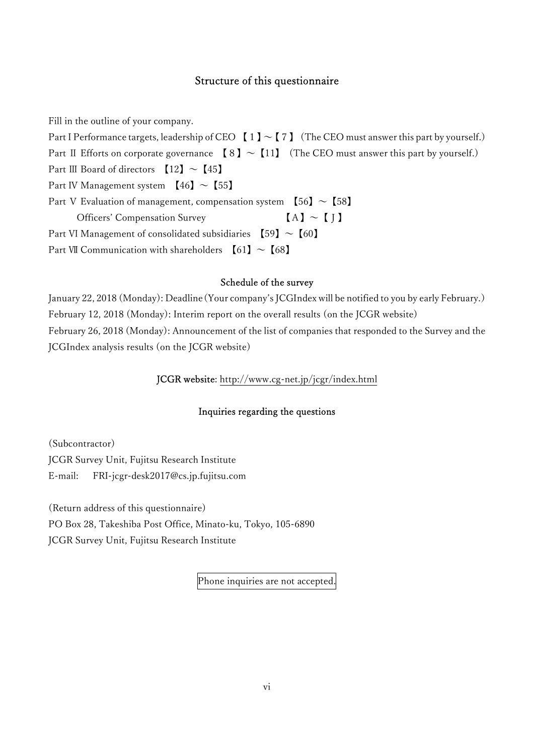### Structure of this questionnaire

Fill in the outline of your company.

Part I Performance targets, leadership of CEO  $[1] \sim [7]$  (The CEO must answer this part by yourself.) Part II Efforts on corporate governance  $[8] \sim [11]$  (The CEO must answer this part by yourself.) Part III Board of directors  $[12] \sim [45]$ Part IV Management system  $[46] \sim [55]$ Part V Evaluation of management, compensation system  $[56] \sim [58]$ Officers' Compensation Survey  $[A] \sim [J]$ Part VI Management of consolidated subsidiaries  $[59] \sim [60]$ Part VII Communication with shareholders  $[61] \sim [68]$ 

# Schedule of the survey

January 22, 2018 (Monday): Deadline(Your company's JCGIndex will be notified to you by early February.) February 12, 2018 (Monday): Interim report on the overall results (on the JCGR website) February 26, 2018 (Monday): Announcement of the list of companies that responded to the Survey and the JCGIndex analysis results (on the JCGR website)

JCGR website: http://www.cg-net.jp/jcgr/index.html

# Inquiries regarding the questions

(Subcontractor) JCGR Survey Unit, Fujitsu Research Institute E-mail: FRI-jcgr-desk2017@cs.jp.fujitsu.com

(Return address of this questionnaire) PO Box 28, Takeshiba Post Office, Minato-ku, Tokyo, 105-6890 JCGR Survey Unit, Fujitsu Research Institute

Phone inquiries are not accepted.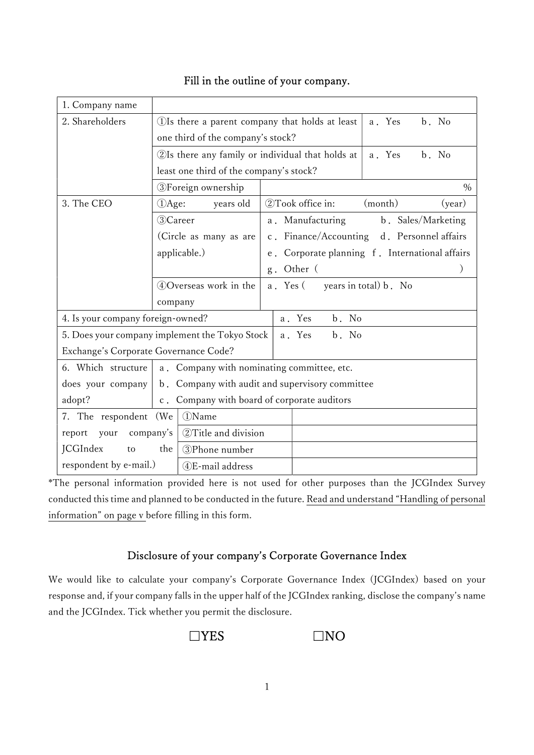| 1. Company name                                |                                                                      |                                                   |          |                                            |       |                       |  |                    |
|------------------------------------------------|----------------------------------------------------------------------|---------------------------------------------------|----------|--------------------------------------------|-------|-----------------------|--|--------------------|
| 2. Shareholders                                |                                                                      | (1) Is there a parent company that holds at least |          | a. Yes                                     |       | b. No                 |  |                    |
|                                                |                                                                      | one third of the company's stock?                 |          |                                            |       |                       |  |                    |
|                                                | 2Is there any family or individual that holds at                     |                                                   |          | a. Yes                                     |       | b. No                 |  |                    |
|                                                |                                                                      | least one third of the company's stock?           |          |                                            |       |                       |  |                    |
|                                                | <b>3</b> Foreign ownership                                           |                                                   |          |                                            |       |                       |  | $\%$               |
| 3. The CEO                                     | DAge:                                                                | years old                                         |          | 2Took office in:                           |       | (month)               |  | (year)             |
|                                                | 3)Career                                                             |                                                   |          | a. Manufacturing                           |       |                       |  | b. Sales/Marketing |
|                                                | (Circle as many as are                                               |                                                   |          | c. Finance/Accounting d. Personnel affairs |       |                       |  |                    |
|                                                | applicable.)<br>Corporate planning f. International affairs<br>$e$ . |                                                   |          |                                            |       |                       |  |                    |
|                                                |                                                                      |                                                   | $g$ .    | Other (                                    |       |                       |  |                    |
|                                                | 4 Overseas work in the                                               |                                                   | a. Yes ( |                                            |       | years in total) b. No |  |                    |
|                                                | company                                                              |                                                   |          |                                            |       |                       |  |                    |
| 4. Is your company foreign-owned?              |                                                                      |                                                   |          | a. Yes                                     | b. No |                       |  |                    |
| 5. Does your company implement the Tokyo Stock |                                                                      |                                                   |          | a. Yes                                     | b. No |                       |  |                    |
| Exchange's Corporate Governance Code?          |                                                                      |                                                   |          |                                            |       |                       |  |                    |
| 6. Which structure                             |                                                                      | a. Company with nominating committee, etc.        |          |                                            |       |                       |  |                    |
| does your company                              | b. Company with audit and supervisory committee                      |                                                   |          |                                            |       |                       |  |                    |
| adopt?                                         | Company with board of corporate auditors<br>$c$ .                    |                                                   |          |                                            |       |                       |  |                    |
| 7. The respondent (We                          | (1)Name                                                              |                                                   |          |                                            |       |                       |  |                    |
| company's<br>your<br>report                    |                                                                      | 2 Title and division                              |          |                                            |       |                       |  |                    |
| <b>JCGIndex</b><br>to                          | the                                                                  | 3Phone number                                     |          |                                            |       |                       |  |                    |
| respondent by e-mail.)                         |                                                                      | 4)E-mail address                                  |          |                                            |       |                       |  |                    |

# Fill in the outline of your company.

\*The personal information provided here is not used for other purposes than the JCGIndex Survey conducted this time and planned to be conducted in the future. Read and understand "Handling of personal information" on page v before filling in this form.

# Disclosure of your company's Corporate Governance Index

We would like to calculate your company's Corporate Governance Index (JCGIndex) based on your response and, if your company falls in the upper half of the JCGIndex ranking, disclose the company's name and the JCGIndex. Tick whether you permit the disclosure.

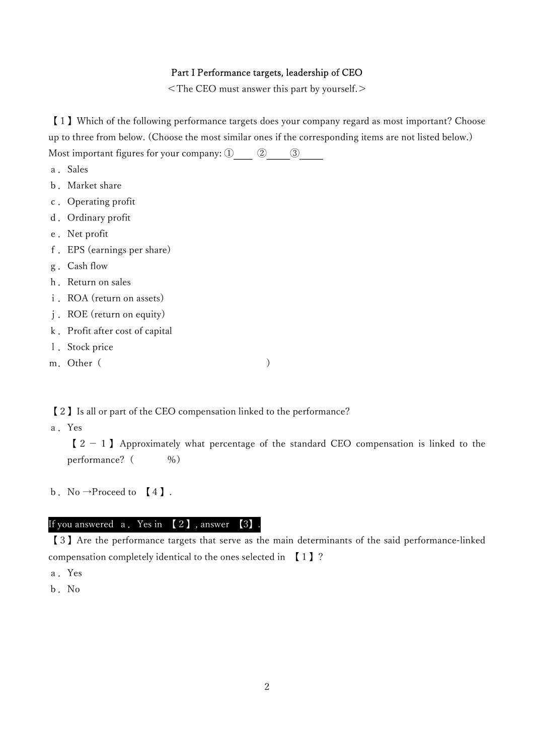### Part I Performance targets, leadership of CEO

<The CEO must answer this part by yourself.>

【1】Which of the following performance targets does your company regard as most important? Choose up to three from below. (Choose the most similar ones if the corresponding items are not listed below.) Most important figures for your company:  $\textcircled{1}$   $\textcircled{2}$   $\textcircled{3}$ 

- a. Sales
- b.Market share
- c.Operating profit
- d. Ordinary profit
- e.Net profit
- f.EPS (earnings per share)
- g.Cash flow
- h. Return on sales
- i. ROA (return on assets)
- j.ROE (return on equity)
- k.Profit after cost of capital
- 1. Stock price
- m.Other( )

【2】Is all or part of the CEO compensation linked to the performance?

a.Yes

 $[2 - 1]$  Approximately what percentage of the standard CEO compensation is linked to the performance? (  $\%$ )

b. No  $\rightarrow$  Proceed to [4].

### If you answered  $\alpha$ . Yes in  $\{2\}$ , answer  $\{3\}$

【3】Are the performance targets that serve as the main determinants of the said performance-linked compensation completely identical to the ones selected in 【1】?

- a.Yes
- b.No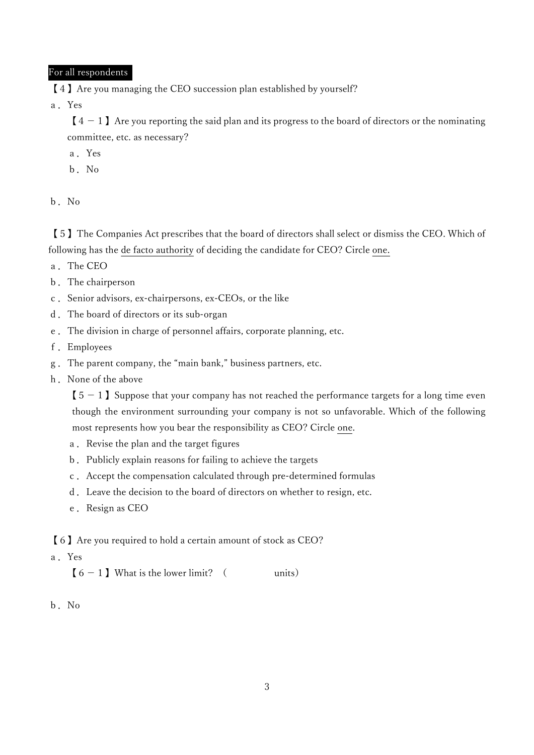# For all respondents

【4】Are you managing the CEO succession plan established by yourself?

a.Yes

 $[4 - 1]$  Are you reporting the said plan and its progress to the board of directors or the nominating committee, etc. as necessary?

- a.Yes
- b.No

b.No

【5】The Companies Act prescribes that the board of directors shall select or dismiss the CEO. Which of following has the de facto authority of deciding the candidate for CEO? Circle one.

- a.The CEO
- b.The chairperson
- c.Senior advisors, ex-chairpersons, ex-CEOs, or the like
- d.The board of directors or its sub-organ
- e.The division in charge of personnel affairs, corporate planning, etc.
- f.Employees
- g.The parent company, the "main bank," business partners, etc.
- h. None of the above

 $[5 - 1]$  Suppose that your company has not reached the performance targets for a long time even though the environment surrounding your company is not so unfavorable. Which of the following most represents how you bear the responsibility as CEO? Circle one.

- a. Revise the plan and the target figures
- b.Publicly explain reasons for failing to achieve the targets
- c.Accept the compensation calculated through pre-determined formulas
- d.Leave the decision to the board of directors on whether to resign, etc.
- e. Resign as CEO

【6】Are you required to hold a certain amount of stock as CEO?

a.Yes

 $[6 - 1]$  What is the lower limit? ( units)

b.No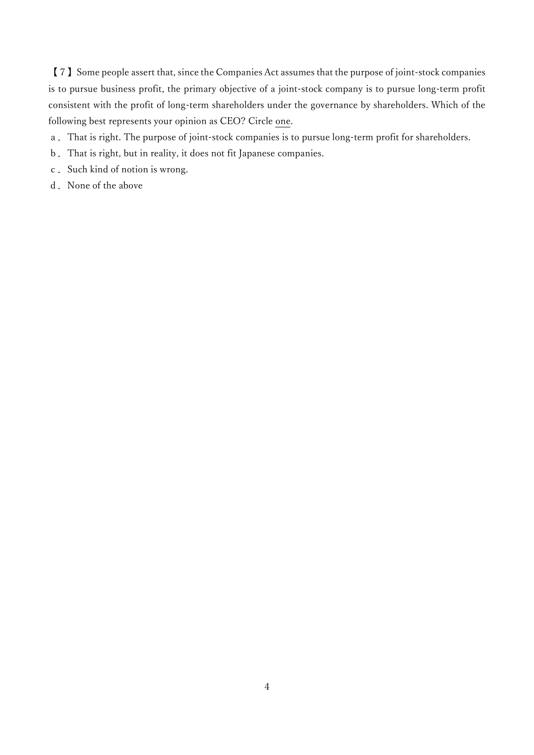【7】Some people assert that, since the Companies Act assumes that the purpose of joint-stock companies is to pursue business profit, the primary objective of a joint-stock company is to pursue long-term profit consistent with the profit of long-term shareholders under the governance by shareholders. Which of the following best represents your opinion as CEO? Circle one.

- a.That is right. The purpose of joint-stock companies is to pursue long-term profit for shareholders.
- b.That is right, but in reality, it does not fit Japanese companies.
- c. Such kind of notion is wrong.
- d. None of the above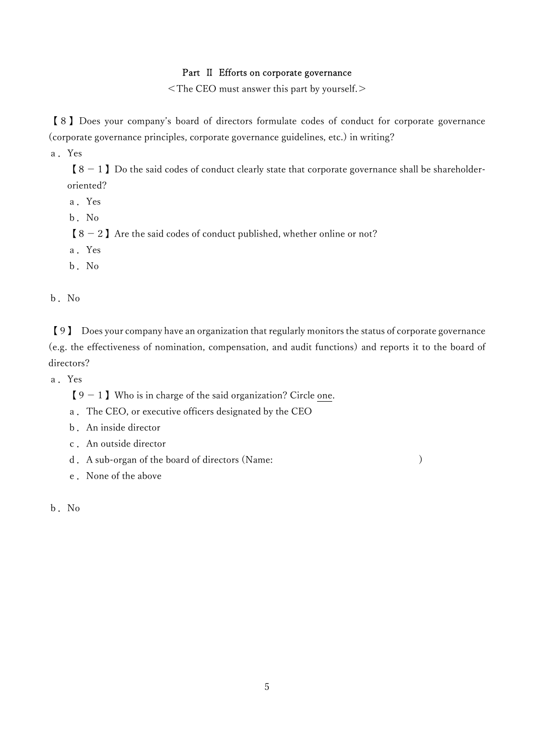### Part Ⅱ Efforts on corporate governance

<The CEO must answer this part by yourself.>

【8】Does your company's board of directors formulate codes of conduct for corporate governance (corporate governance principles, corporate governance guidelines, etc.) in writing?

a.Yes

 $[8 - 1]$  Do the said codes of conduct clearly state that corporate governance shall be shareholderoriented?

- a.Yes
- b.No

 $8 - 2$  Are the said codes of conduct published, whether online or not?

- a.Yes
- b.No

b.No

【9】 Does your company have an organization that regularly monitors the status of corporate governance (e.g. the effectiveness of nomination, compensation, and audit functions) and reports it to the board of directors?

a.Yes

 $[9 - 1]$  Who is in charge of the said organization? Circle one.

- a.The CEO, or executive officers designated by the CEO
- b.An inside director
- c.An outside director
- d. A sub-organ of the board of directors (Name: )

e.None of the above

b.No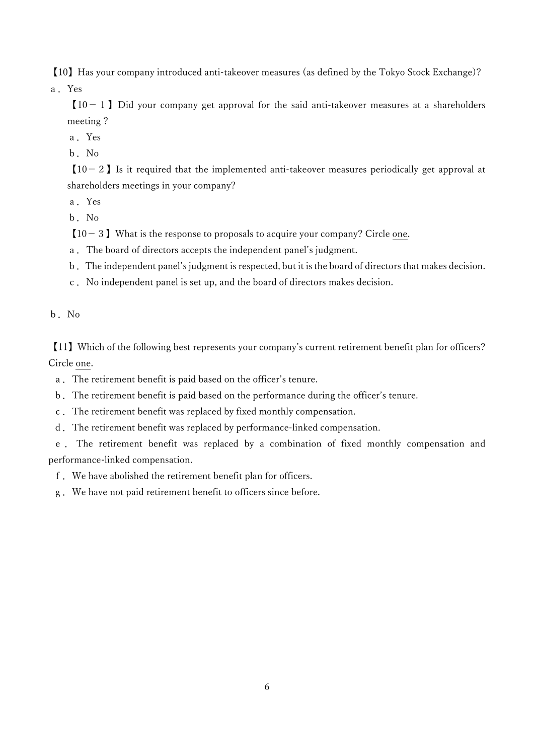【10】Has your company introduced anti-takeover measures (as defined by the Tokyo Stock Exchange)?

a.Yes

 $[10 - 1]$  Did your company get approval for the said anti-takeover measures at a shareholders meeting ?

- a.Yes
- b.No

 $[10 - 2]$  Is it required that the implemented anti-takeover measures periodically get approval at shareholders meetings in your company?

a.Yes

b.No

 $[10-3]$  What is the response to proposals to acquire your company? Circle one.

- a.The board of directors accepts the independent panel's judgment.
- b.The independent panel's judgment is respected, but it is the board of directors that makes decision.
- c.No independent panel is set up, and the board of directors makes decision.

b.No

【11】Which of the following best represents your company's current retirement benefit plan for officers? Circle one.

a.The retirement benefit is paid based on the officer's tenure.

- b.The retirement benefit is paid based on the performance during the officer's tenure.
- c.The retirement benefit was replaced by fixed monthly compensation.
- d.The retirement benefit was replaced by performance-linked compensation.

 e . The retirement benefit was replaced by a combination of fixed monthly compensation and performance-linked compensation.

f.We have abolished the retirement benefit plan for officers.

g.We have not paid retirement benefit to officers since before.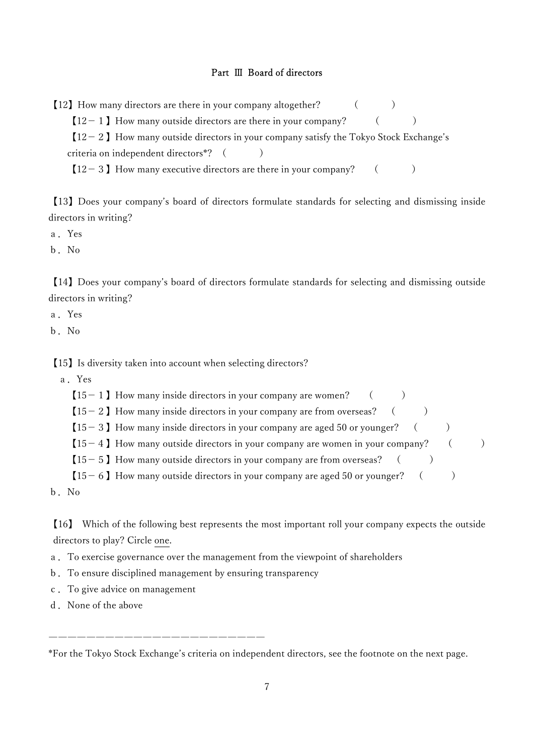### Part Ⅲ Board of directors

【12】How many directors are there in your company altogether? ( )

 $[12-1]$  How many outside directors are there in your company? ()

 $[12-2]$  How many outside directors in your company satisfy the Tokyo Stock Exchange's criteria on independent directors<sup>\*?</sup> ()

 $[12-3]$  How many executive directors are there in your company? ( )

【13】Does your company's board of directors formulate standards for selecting and dismissing inside directors in writing?

- a.Yes
- b.No

【14】Does your company's board of directors formulate standards for selecting and dismissing outside directors in writing?

- a.Yes
- b.No

【15】Is diversity taken into account when selecting directors?

a.Yes

|  |  | $[15 - 1]$ How many inside directors in your company are women? |  |
|--|--|-----------------------------------------------------------------|--|
|--|--|-----------------------------------------------------------------|--|

 $[15 - 2]$  How many inside directors in your company are from overseas? ( )

 $[15-3]$  How many inside directors in your company are aged 50 or younger? ( )

 $[15-4]$  How many outside directors in your company are women in your company? ()

- $[15 5]$  How many outside directors in your company are from overseas? ()
- $[15-6]$  How many outside directors in your company are aged 50 or younger? ( )

b.No

【16】 Which of the following best represents the most important roll your company expects the outside directors to play? Circle one.

a.To exercise governance over the management from the viewpoint of shareholders

b.To ensure disciplined management by ensuring transparency

―――――――――――――――――――――――

- c.To give advice on management
- d. None of the above

\*For the Tokyo Stock Exchange's criteria on independent directors, see the footnote on the next page.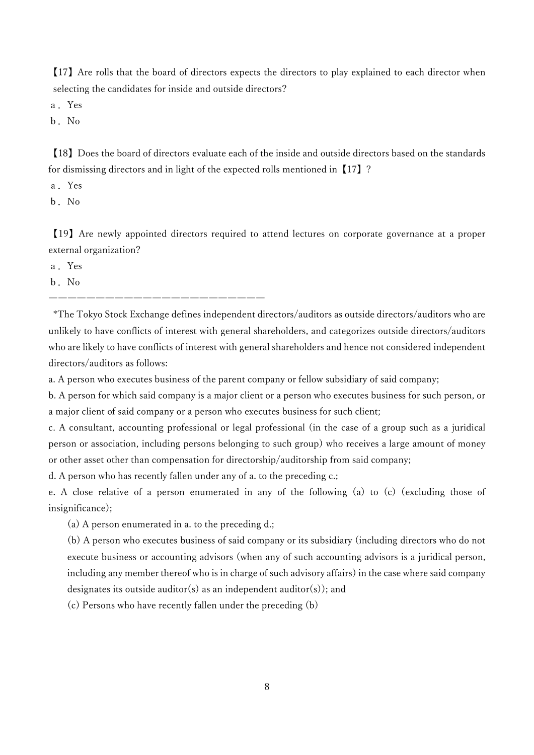【17】Are rolls that the board of directors expects the directors to play explained to each director when selecting the candidates for inside and outside directors?

a.Yes

b.No

【18】Does the board of directors evaluate each of the inside and outside directors based on the standards for dismissing directors and in light of the expected rolls mentioned in【17】?

a.Yes

b.No

【19】Are newly appointed directors required to attend lectures on corporate governance at a proper external organization?

a.Yes

b.No

―――――――――――――――――――――――

 \*The Tokyo Stock Exchange defines independent directors/auditors as outside directors/auditors who are unlikely to have conflicts of interest with general shareholders, and categorizes outside directors/auditors who are likely to have conflicts of interest with general shareholders and hence not considered independent directors/auditors as follows:

a. A person who executes business of the parent company or fellow subsidiary of said company;

b. A person for which said company is a major client or a person who executes business for such person, or a major client of said company or a person who executes business for such client;

c. A consultant, accounting professional or legal professional (in the case of a group such as a juridical person or association, including persons belonging to such group) who receives a large amount of money or other asset other than compensation for directorship/auditorship from said company;

d. A person who has recently fallen under any of a. to the preceding c.;

e. A close relative of a person enumerated in any of the following (a) to (c) (excluding those of insignificance);

(a) A person enumerated in a. to the preceding d.;

(b) A person who executes business of said company or its subsidiary (including directors who do not execute business or accounting advisors (when any of such accounting advisors is a juridical person, including any member thereof who is in charge of such advisory affairs) in the case where said company designates its outside auditor(s) as an independent auditor(s)); and

(c) Persons who have recently fallen under the preceding (b)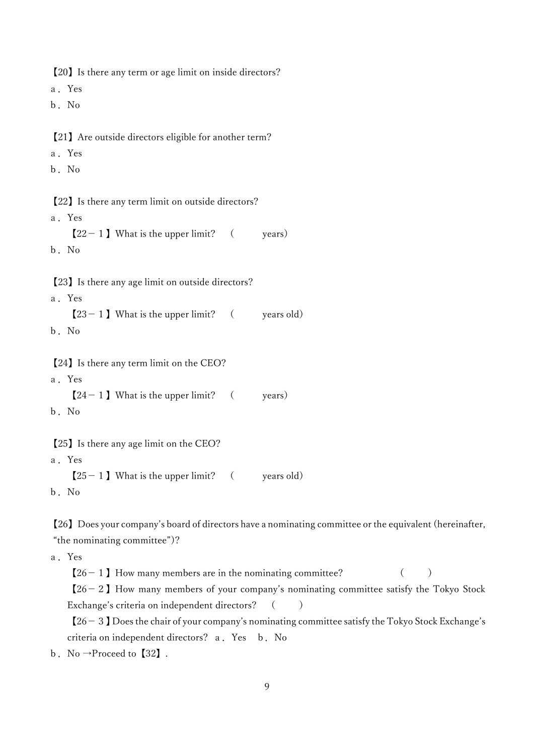【20】Is there any term or age limit on inside directors? a.Yes b.No 【21】Are outside directors eligible for another term? a.Yes b.No 【22】Is there any term limit on outside directors? a.Yes  $[22 - 1]$  What is the upper limit? (vears) b.No 【23】Is there any age limit on outside directors? a.Yes  $[23 - 1]$  What is the upper limit? ( years old) b.No 【24】Is there any term limit on the CEO? a.Yes  $[24 - 1]$  What is the upper limit? (years) b.No 【25】Is there any age limit on the CEO? a.Yes  $[25 - 1]$  What is the upper limit? (vears old) b.No

【26】Does your company's board of directors have a nominating committee or the equivalent (hereinafter, "the nominating committee")?

a.Yes

 $[26-1]$  How many members are in the nominating committee? ()  $[26-2]$  How many members of your company's nominating committee satisfy the Tokyo Stock

Exchange's criteria on independent directors? ()

 $[26-3]$  Does the chair of your company's nominating committee satisfy the Tokyo Stock Exchange's criteria on independent directors? a.Yes b.No

b. No  $\rightarrow$ Proceed to [32].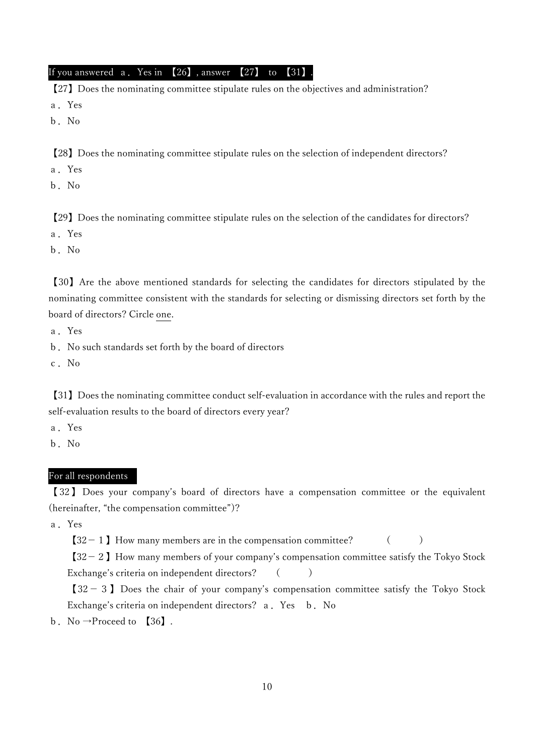If you answered a. Yes in  $[26]$ , answer  $[27]$  to  $[31]$ .

【27】Does the nominating committee stipulate rules on the objectives and administration? a.Yes

b.No

【28】Does the nominating committee stipulate rules on the selection of independent directors?

a.Yes

b.No

【29】Does the nominating committee stipulate rules on the selection of the candidates for directors?

a.Yes

b.No

【30】Are the above mentioned standards for selecting the candidates for directors stipulated by the nominating committee consistent with the standards for selecting or dismissing directors set forth by the board of directors? Circle one.

a.Yes

b.No such standards set forth by the board of directors

c.No

【31】Does the nominating committee conduct self-evaluation in accordance with the rules and report the self-evaluation results to the board of directors every year?

a.Yes

b.No

### For all respondents

【 32 】 Does your company's board of directors have a compensation committee or the equivalent (hereinafter, "the compensation committee")?

a.Yes

 $[32-1]$  How many members are in the compensation committee?  $($ 

 $[32-2]$  How many members of your company's compensation committee satisfy the Tokyo Stock Exchange's criteria on independent directors? ()

 $[32 - 3]$  Does the chair of your company's compensation committee satisfy the Tokyo Stock Exchange's criteria on independent directors? a. Yes b. No

b. No  $\rightarrow$  Proceed to [36].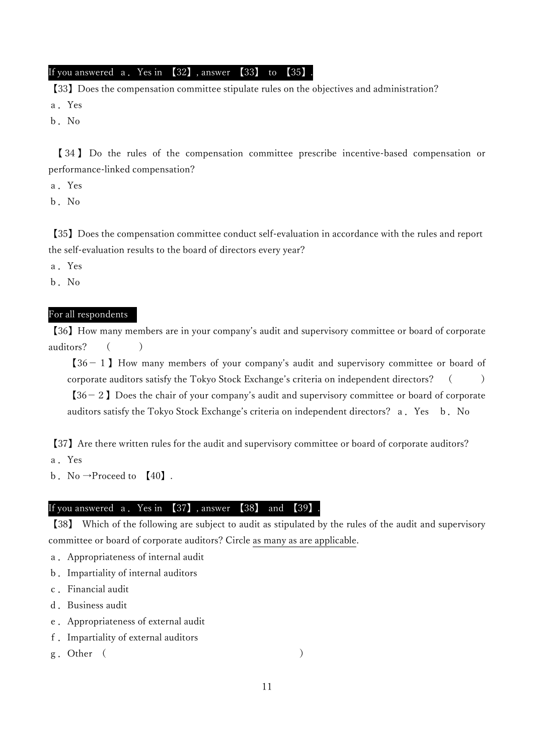### If you answered a. Yes in 【32】, answer 【33】 to 【35】

【33】Does the compensation committee stipulate rules on the objectives and administration? a.Yes

b.No

 【 34 】 Do the rules of the compensation committee prescribe incentive-based compensation or performance-linked compensation?

a.Yes

b.No

【35】Does the compensation committee conduct self-evaluation in accordance with the rules and report the self-evaluation results to the board of directors every year?

a.Yes

b.No

### For all respondents

【36】How many members are in your company's audit and supervisory committee or board of corporate auditors? ( )

 $[36 - 1]$  How many members of your company's audit and supervisory committee or board of corporate auditors satisfy the Tokyo Stock Exchange's criteria on independent directors? ( )  $[36 - 2]$  Does the chair of your company's audit and supervisory committee or board of corporate auditors satisfy the Tokyo Stock Exchange's criteria on independent directors? a. Yes b. No

【37】Are there written rules for the audit and supervisory committee or board of corporate auditors?

a.Yes

b. No  $\rightarrow$ Proceed to [40].

# If you answered a. Yes in [37], answer [38] and [39].

【38】 Which of the following are subject to audit as stipulated by the rules of the audit and supervisory committee or board of corporate auditors? Circle as many as are applicable.

- a.Appropriateness of internal audit
- b.Impartiality of internal auditors
- c.Financial audit
- d. Business audit
- e.Appropriateness of external audit
- f.Impartiality of external auditors
- g. Other (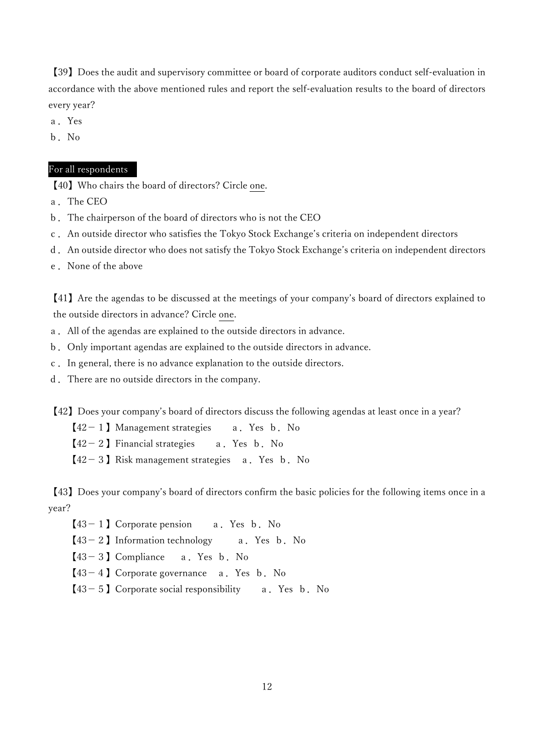【39】Does the audit and supervisory committee or board of corporate auditors conduct self-evaluation in accordance with the above mentioned rules and report the self-evaluation results to the board of directors every year?

- a.Yes
- b.No

### For all respondents

【40】Who chairs the board of directors? Circle one.

- a.The CEO
- b.The chairperson of the board of directors who is not the CEO
- c.An outside director who satisfies the Tokyo Stock Exchange's criteria on independent directors
- d.An outside director who does not satisfy the Tokyo Stock Exchange's criteria on independent directors
- e.None of the above

【41】Are the agendas to be discussed at the meetings of your company's board of directors explained to the outside directors in advance? Circle one.

- a.All of the agendas are explained to the outside directors in advance.
- b.Only important agendas are explained to the outside directors in advance.
- c.In general, there is no advance explanation to the outside directors.
- d.There are no outside directors in the company.

【42】Does your company's board of directors discuss the following agendas at least once in a year?

 $[42 - 1]$  Management strategies a. Yes b. No

 $[42 - 2]$  Financial strategies a. Yes b. No

 $[42-3]$  Risk management strategies a. Yes b. No

【43】Does your company's board of directors confirm the basic policies for the following items once in a year?

- $[43 1]$  Corporate pension a. Yes b. No
- $[43 2]$  Information technology a. Yes b. No
- $[43 3]$  Compliance a. Yes b. No
- $[43 4]$  Corporate governance a. Yes b. No
- $[43 5]$  Corporate social responsibility a. Yes b. No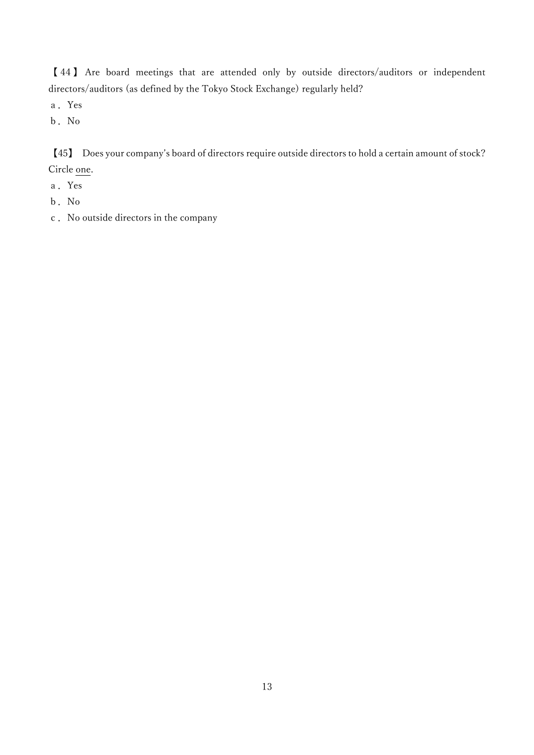【 44 】 Are board meetings that are attended only by outside directors/auditors or independent directors/auditors (as defined by the Tokyo Stock Exchange) regularly held?

- a.Yes
- b.No

【45】 Does your company's board of directors require outside directors to hold a certain amount of stock? Circle one.

- a.Yes
- b.No
- c.No outside directors in the company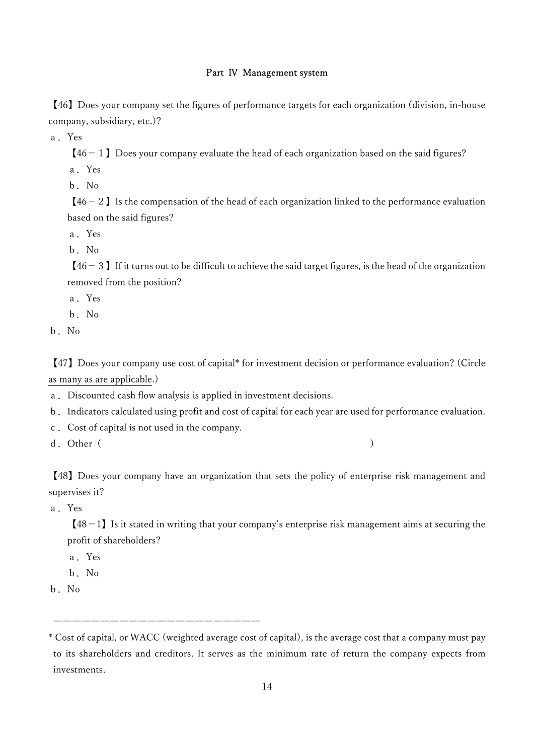### Part Ⅳ Management system

【46】Does your company set the figures of performance targets for each organization (division, in-house company, subsidiary, etc.)?

a.Yes

 $[46 - 1]$  Does your company evaluate the head of each organization based on the said figures?

a.Yes

b.No

 $[46 - 2]$  Is the compensation of the head of each organization linked to the performance evaluation based on the said figures?

a.Yes

b.No

 $[46-3]$  If it turns out to be difficult to achieve the said target figures, is the head of the organization removed from the position?

a.Yes

b.No

b.No

【47】Does your company use cost of capital\* for investment decision or performance evaluation? (Circle as many as are applicable.)

a.Discounted cash flow analysis is applied in investment decisions.

- b.Indicators calculated using profit and cost of capital for each year are used for performance evaluation.
- c.Cost of capital is not used in the company.
- d. Other ( )

【48】Does your company have an organization that sets the policy of enterprise risk management and supervises it?

a.Yes

 $[48-1]$  Is it stated in writing that your company's enterprise risk management aims at securing the profit of shareholders?

a.Yes

b.No

b.No

 <sup>――――――――――――――――――――――</sup>  \* Cost of capital, or WACC (weighted average cost of capital), is the average cost that a company must pay

to its shareholders and creditors. It serves as the minimum rate of return the company expects from investments.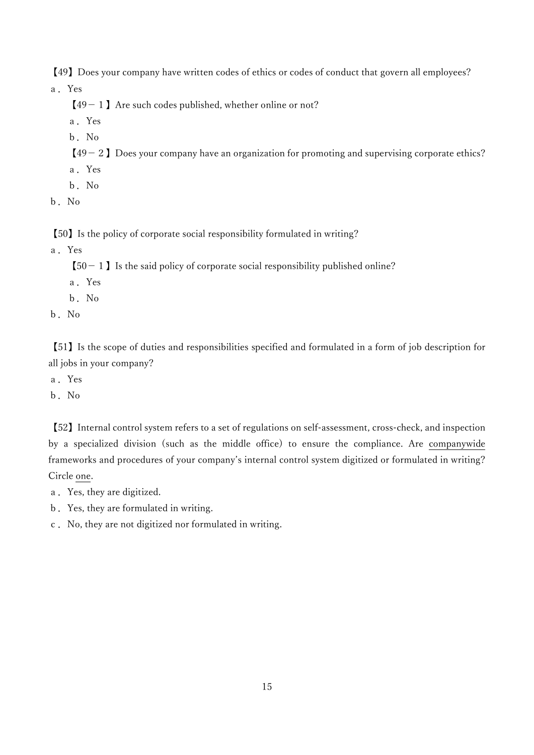【49】Does your company have written codes of ethics or codes of conduct that govern all employees? a.Yes

 $[49 - 1]$  Are such codes published, whether online or not?

- a.Yes
- b.No
- $[49 2]$  Does your company have an organization for promoting and supervising corporate ethics?
- a.Yes
- b.No
- b.No

【50】Is the policy of corporate social responsibility formulated in writing?

a.Yes

 $[50 - 1]$  Is the said policy of corporate social responsibility published online?

- a.Yes
- b.No
- b.No

【51】Is the scope of duties and responsibilities specified and formulated in a form of job description for all jobs in your company?

- a.Yes
- b.No

【52】Internal control system refers to a set of regulations on self-assessment, cross-check, and inspection by a specialized division (such as the middle office) to ensure the compliance. Are companywide frameworks and procedures of your company's internal control system digitized or formulated in writing? Circle one.

- a.Yes, they are digitized.
- b.Yes, they are formulated in writing.
- c.No, they are not digitized nor formulated in writing.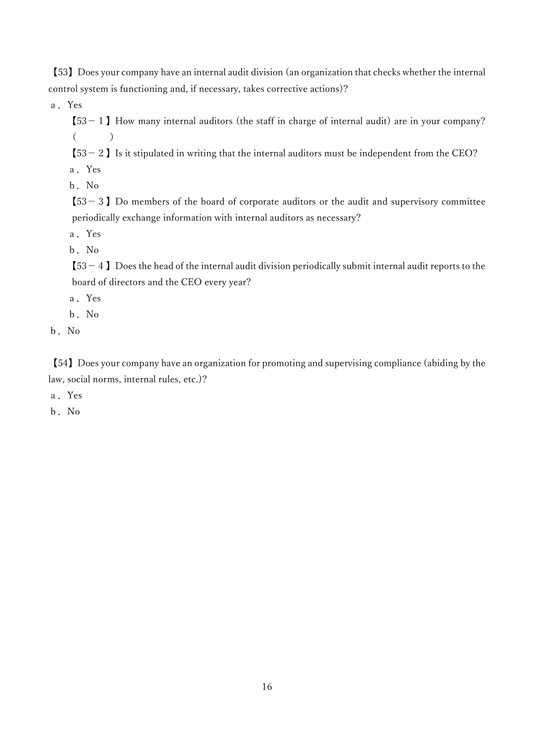【53】Does your company have an internal audit division (an organization that checks whether the internal control system is functioning and, if necessary, takes corrective actions)?

a.Yes

 $[53 - 1]$  How many internal auditors (the staff in charge of internal audit) are in your company?  $($ 

 $[53 - 2]$  Is it stipulated in writing that the internal auditors must be independent from the CEO? a.Yes

b.No

 $[53-3]$  Do members of the board of corporate auditors or the audit and supervisory committee periodically exchange information with internal auditors as necessary?

a.Yes

b.No

 $[53 - 4]$  Does the head of the internal audit division periodically submit internal audit reports to the board of directors and the CEO every year?

a.Yes

b.No

b.No

【54】Does your company have an organization for promoting and supervising compliance (abiding by the law, social norms, internal rules, etc.)?

a.Yes

b.No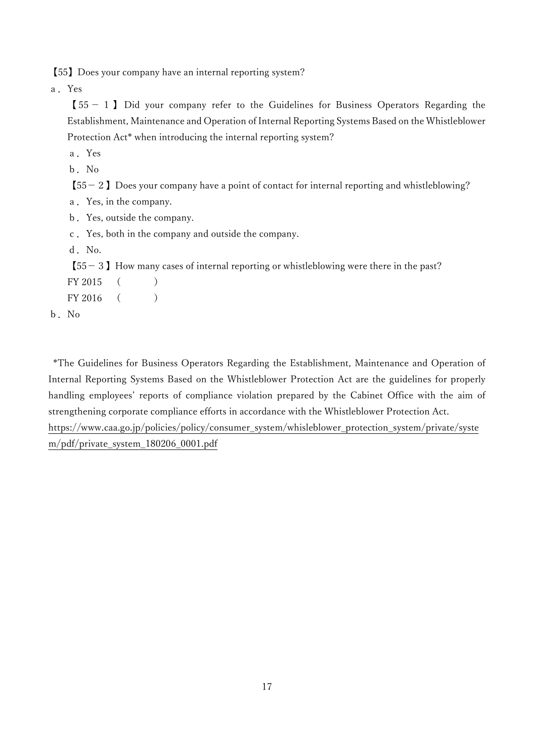【55】Does your company have an internal reporting system?

a.Yes

 $[55 - 1]$  Did your company refer to the Guidelines for Business Operators Regarding the Establishment, Maintenance and Operation of Internal Reporting Systems Based on the Whistleblower Protection Act\* when introducing the internal reporting system?

a.Yes

b.No

 $[55 - 2]$  Does your company have a point of contact for internal reporting and whistleblowing?

a.Yes, in the company.

b.Yes, outside the company.

c.Yes, both in the company and outside the company.

d. No.

 $[55-3]$  How many cases of internal reporting or whistleblowing were there in the past?

| FY 2015 |  |
|---------|--|
|         |  |

b.No

 \*The Guidelines for Business Operators Regarding the Establishment, Maintenance and Operation of Internal Reporting Systems Based on the Whistleblower Protection Act are the guidelines for properly handling employees' reports of compliance violation prepared by the Cabinet Office with the aim of strengthening corporate compliance efforts in accordance with the Whistleblower Protection Act. https://www.caa.go.jp/policies/policy/consumer\_system/whisleblower\_protection\_system/private/syste m/pdf/private\_system\_180206\_0001.pdf

17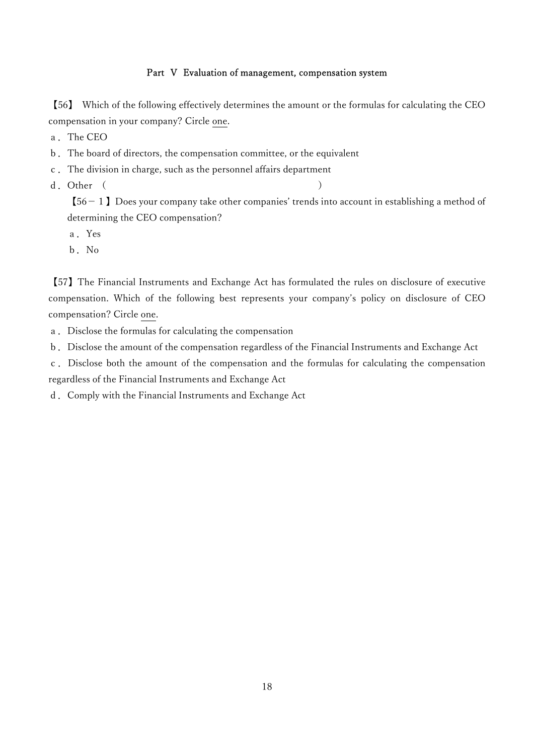### Part V Evaluation of management, compensation system

【56】 Which of the following effectively determines the amount or the formulas for calculating the CEO compensation in your company? Circle one.

a.The CEO

- b.The board of directors, the compensation committee, or the equivalent
- c.The division in charge, such as the personnel affairs department
- d. Other ( )

 $[56 - 1]$  Does your company take other companies' trends into account in establishing a method of determining the CEO compensation?

- a.Yes
- b.No

【57】The Financial Instruments and Exchange Act has formulated the rules on disclosure of executive compensation. Which of the following best represents your company's policy on disclosure of CEO compensation? Circle one.

- a.Disclose the formulas for calculating the compensation
- b.Disclose the amount of the compensation regardless of the Financial Instruments and Exchange Act

c.Disclose both the amount of the compensation and the formulas for calculating the compensation regardless of the Financial Instruments and Exchange Act

d.Comply with the Financial Instruments and Exchange Act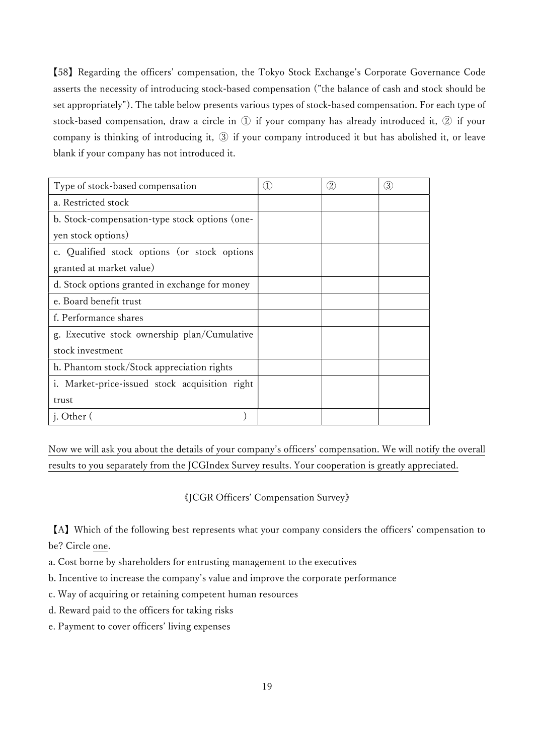【58】Regarding the officers' compensation, the Tokyo Stock Exchange's Corporate Governance Code asserts the necessity of introducing stock-based compensation ("the balance of cash and stock should be set appropriately"). The table below presents various types of stock-based compensation. For each type of stock-based compensation, draw a circle in ① if your company has already introduced it, ② if your company is thinking of introducing it, ③ if your company introduced it but has abolished it, or leave blank if your company has not introduced it.

| Type of stock-based compensation               | $\left(1\right)$ | $\left( 2\right)$ | 3 |
|------------------------------------------------|------------------|-------------------|---|
| a. Restricted stock                            |                  |                   |   |
| b. Stock-compensation-type stock options (one- |                  |                   |   |
| yen stock options)                             |                  |                   |   |
| c. Qualified stock options (or stock options   |                  |                   |   |
| granted at market value)                       |                  |                   |   |
| d. Stock options granted in exchange for money |                  |                   |   |
| e. Board benefit trust                         |                  |                   |   |
| f. Performance shares                          |                  |                   |   |
| g. Executive stock ownership plan/Cumulative   |                  |                   |   |
| stock investment                               |                  |                   |   |
| h. Phantom stock/Stock appreciation rights     |                  |                   |   |
| i. Market-price-issued stock acquisition right |                  |                   |   |
| trust                                          |                  |                   |   |
| j. Other (                                     |                  |                   |   |

Now we will ask you about the details of your company's officers' compensation. We will notify the overall results to you separately from the JCGIndex Survey results. Your cooperation is greatly appreciated.

《JCGR Officers' Compensation Survey》

【A】Which of the following best represents what your company considers the officers' compensation to be? Circle one.

a. Cost borne by shareholders for entrusting management to the executives

b. Incentive to increase the company's value and improve the corporate performance

c. Way of acquiring or retaining competent human resources

d. Reward paid to the officers for taking risks

e. Payment to cover officers' living expenses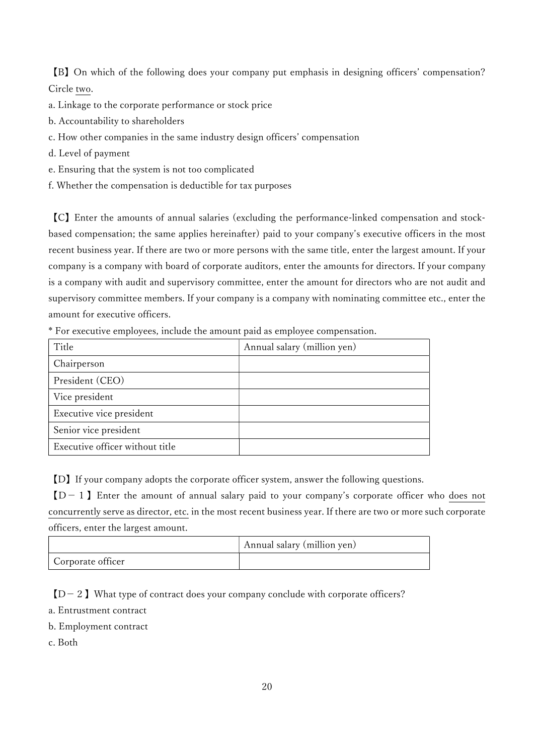【B】On which of the following does your company put emphasis in designing officers' compensation? Circle two.

- a. Linkage to the corporate performance or stock price
- b. Accountability to shareholders
- c. How other companies in the same industry design officers' compensation
- d. Level of payment
- e. Ensuring that the system is not too complicated
- f. Whether the compensation is deductible for tax purposes

【C】Enter the amounts of annual salaries (excluding the performance-linked compensation and stockbased compensation; the same applies hereinafter) paid to your company's executive officers in the most recent business year. If there are two or more persons with the same title, enter the largest amount. If your company is a company with board of corporate auditors, enter the amounts for directors. If your company is a company with audit and supervisory committee, enter the amount for directors who are not audit and supervisory committee members. If your company is a company with nominating committee etc., enter the amount for executive officers.

| Title                           | Annual salary (million yen) |
|---------------------------------|-----------------------------|
| Chairperson                     |                             |
| President (CEO)                 |                             |
| Vice president                  |                             |
| Executive vice president        |                             |
| Senior vice president           |                             |
| Executive officer without title |                             |

\* For executive employees, include the amount paid as employee compensation.

【D】If your company adopts the corporate officer system, answer the following questions.

 $[D-1]$  Enter the amount of annual salary paid to your company's corporate officer who does not concurrently serve as director, etc. in the most recent business year. If there are two or more such corporate officers, enter the largest amount.

|                   | Annual salary (million yen) |
|-------------------|-----------------------------|
| Corporate officer |                             |

 $[D-2]$  What type of contract does your company conclude with corporate officers?

- a. Entrustment contract
- b. Employment contract
- c. Both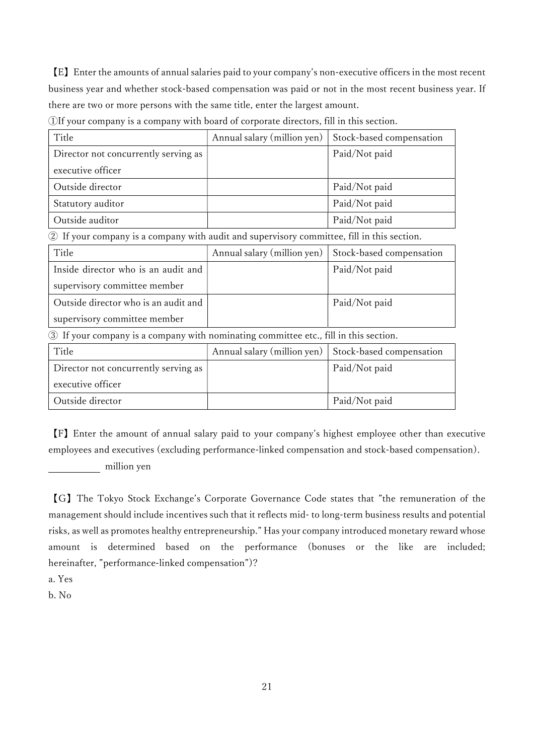【E】Enter the amounts of annual salaries paid to your company's non-executive officers in the most recent business year and whether stock-based compensation was paid or not in the most recent business year. If there are two or more persons with the same title, enter the largest amount.

①If your company is a company with board of corporate directors, fill in this section.

| Title                                                                                                | Annual salary (million yen) | Stock-based compensation |
|------------------------------------------------------------------------------------------------------|-----------------------------|--------------------------|
| Director not concurrently serving as                                                                 |                             | Paid/Not paid            |
| executive officer                                                                                    |                             |                          |
| Outside director                                                                                     |                             | Paid/Not paid            |
| Statutory auditor                                                                                    |                             | Paid/Not paid            |
| Outside auditor                                                                                      |                             | Paid/Not paid            |
| If your company is a company with audit and supervisory committee, fill in this section.<br>$\rm(2)$ |                             |                          |
| Title                                                                                                | Annual salary (million yen) | Stock-based compensation |
| Inside director who is an audit and                                                                  |                             | Paid/Not paid            |
| supervisory committee member                                                                         |                             |                          |
| Outside director who is an audit and                                                                 |                             | Paid/Not paid            |
| supervisory committee member                                                                         |                             |                          |
| If your company is a company with nominating committee etc., fill in this section.<br>$\circled{3}$  |                             |                          |
| Title                                                                                                | Annual salary (million yen) | Stock-based compensation |
| Director not concurrently serving as                                                                 |                             | Paid/Not paid            |
| executive officer                                                                                    |                             |                          |
| Outside director                                                                                     |                             | Paid/Not paid            |

【F】Enter the amount of annual salary paid to your company's highest employee other than executive employees and executives (excluding performance-linked compensation and stock-based compensation). million yen

【G】The Tokyo Stock Exchange's Corporate Governance Code states that "the remuneration of the management should include incentives such that it reflects mid- to long-term business results and potential risks, as well as promotes healthy entrepreneurship." Has your company introduced monetary reward whose amount is determined based on the performance (bonuses or the like are included; hereinafter, "performance-linked compensation")?

a. Yes

b. No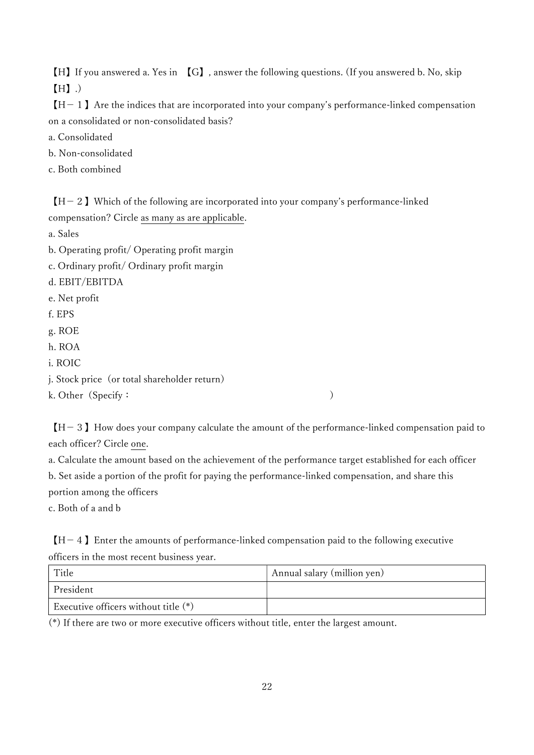【H】If you answered a. Yes in 【G】, answer the following questions. (If you answered b. No, skip 【H】.)

 $[H-1]$  Are the indices that are incorporated into your company's performance-linked compensation on a consolidated or non-consolidated basis?

a. Consolidated

b. Non-consolidated

c. Both combined

 $[H-2]$  Which of the following are incorporated into your company's performance-linked compensation? Circle as many as are applicable.

a. Sales

b. Operating profit/ Operating profit margin

c. Ordinary profit/ Ordinary profit margin

d. EBIT/EBITDA

e. Net profit

f. EPS

g. ROE

h. ROA

i. ROIC

j. Stock price (or total shareholder return)

k. Other (Specify: )

 $[H-3]$  How does your company calculate the amount of the performance-linked compensation paid to each officer? Circle one.

a. Calculate the amount based on the achievement of the performance target established for each officer b. Set aside a portion of the profit for paying the performance-linked compensation, and share this portion among the officers

c. Both of a and b

 $[H-4]$  Enter the amounts of performance-linked compensation paid to the following executive officers in the most recent business year.

| Title                                  | Annual salary (million yen) |
|----------------------------------------|-----------------------------|
| President                              |                             |
| Executive officers without title $(*)$ |                             |

(\*) If there are two or more executive officers without title, enter the largest amount.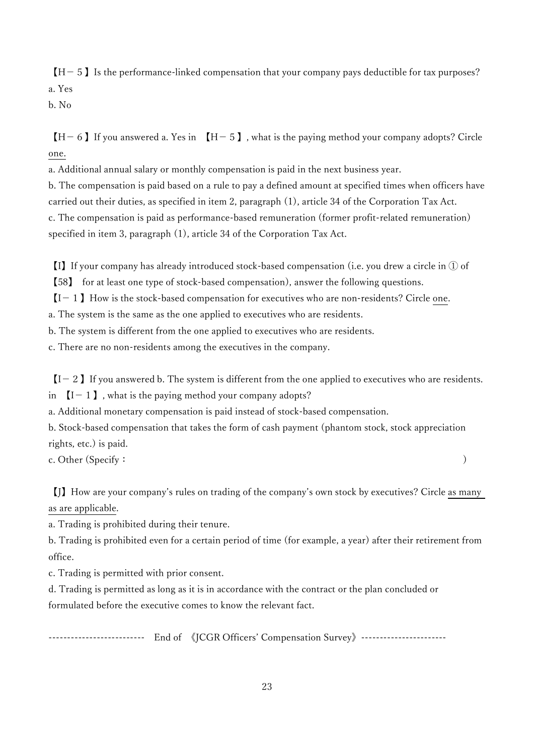$[H-5]$  Is the performance-linked compensation that your company pays deductible for tax purposes? a. Yes

b. No

 $[H-6]$  If you answered a. Yes in  $[H-5]$ , what is the paying method your company adopts? Circle one.

a. Additional annual salary or monthly compensation is paid in the next business year.

b. The compensation is paid based on a rule to pay a defined amount at specified times when officers have carried out their duties, as specified in item 2, paragraph (1), article 34 of the Corporation Tax Act. c. The compensation is paid as performance-based remuneration (former profit-related remuneration) specified in item 3, paragraph (1), article 34 of the Corporation Tax Act.

【I】If your company has already introduced stock-based compensation (i.e. you drew a circle in ① of

【58】 for at least one type of stock-based compensation), answer the following questions.

 $[I - 1]$  How is the stock-based compensation for executives who are non-residents? Circle one.

a. The system is the same as the one applied to executives who are residents.

b. The system is different from the one applied to executives who are residents.

c. There are no non-residents among the executives in the company.

 $[I - 2]$  If you answered b. The system is different from the one applied to executives who are residents.

in  $[I - 1]$ , what is the paying method your company adopts?

a. Additional monetary compensation is paid instead of stock-based compensation.

b. Stock-based compensation that takes the form of cash payment (phantom stock, stock appreciation rights, etc.) is paid.

c. Other (Specify: )

【J】How are your company's rules on trading of the company's own stock by executives? Circle as many as are applicable.

a. Trading is prohibited during their tenure.

b. Trading is prohibited even for a certain period of time (for example, a year) after their retirement from office.

c. Trading is permitted with prior consent.

d. Trading is permitted as long as it is in accordance with the contract or the plan concluded or formulated before the executive comes to know the relevant fact.

-------------------------- End of 《JCGR Officers' Compensation Survey》-----------------------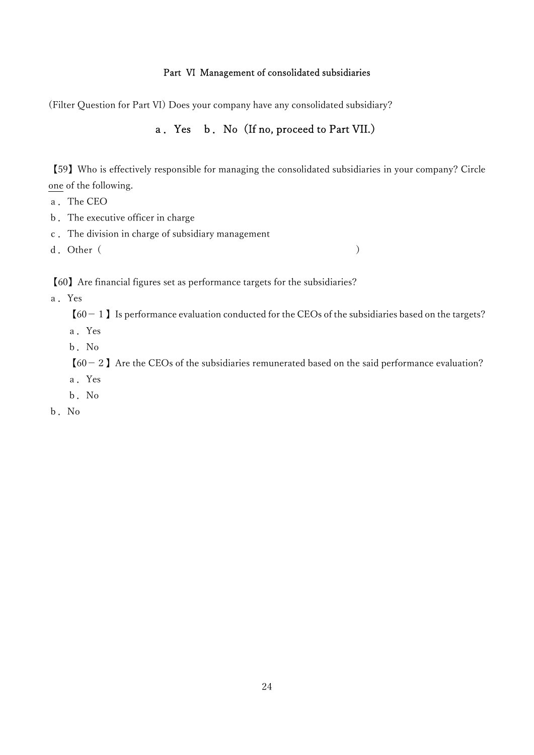### Part Ⅵ Management of consolidated subsidiaries

(Filter Question for Part Ⅵ) Does your company have any consolidated subsidiary?

# a.Yes b.No(If no, proceed to Part VII.)

【59】Who is effectively responsible for managing the consolidated subsidiaries in your company? Circle one of the following.

- a.The CEO
- b.The executive officer in charge
- c.The division in charge of subsidiary management

d. Other ( )

【60】Are financial figures set as performance targets for the subsidiaries?

a.Yes

 $[60 - 1]$  Is performance evaluation conducted for the CEOs of the subsidiaries based on the targets?

a.Yes

b.No

 $[60 - 2]$  Are the CEOs of the subsidiaries remunerated based on the said performance evaluation?

- a.Yes
- b.No
- b.No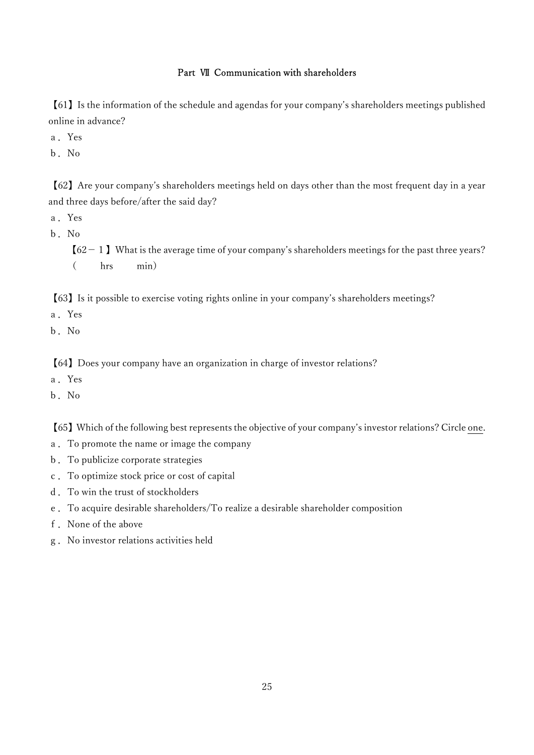### Part Ⅶ Communication with shareholders

【61】Is the information of the schedule and agendas for your company's shareholders meetings published online in advance?

a.Yes

b.No

【62】Are your company's shareholders meetings held on days other than the most frequent day in a year and three days before/after the said day?

- a.Yes
- b.No

 $[62 - 1]$  What is the average time of your company's shareholders meetings for the past three years? ( hrs min)

【63】Is it possible to exercise voting rights online in your company's shareholders meetings?

- a.Yes
- b.No

【64】Does your company have an organization in charge of investor relations?

- a.Yes
- b.No

【65】Which of the following best represents the objective of your company's investor relations? Circle one.

- a.To promote the name or image the company
- b.To publicize corporate strategies
- c.To optimize stock price or cost of capital
- d.To win the trust of stockholders
- e.To acquire desirable shareholders/To realize a desirable shareholder composition
- f.None of the above
- g.No investor relations activities held